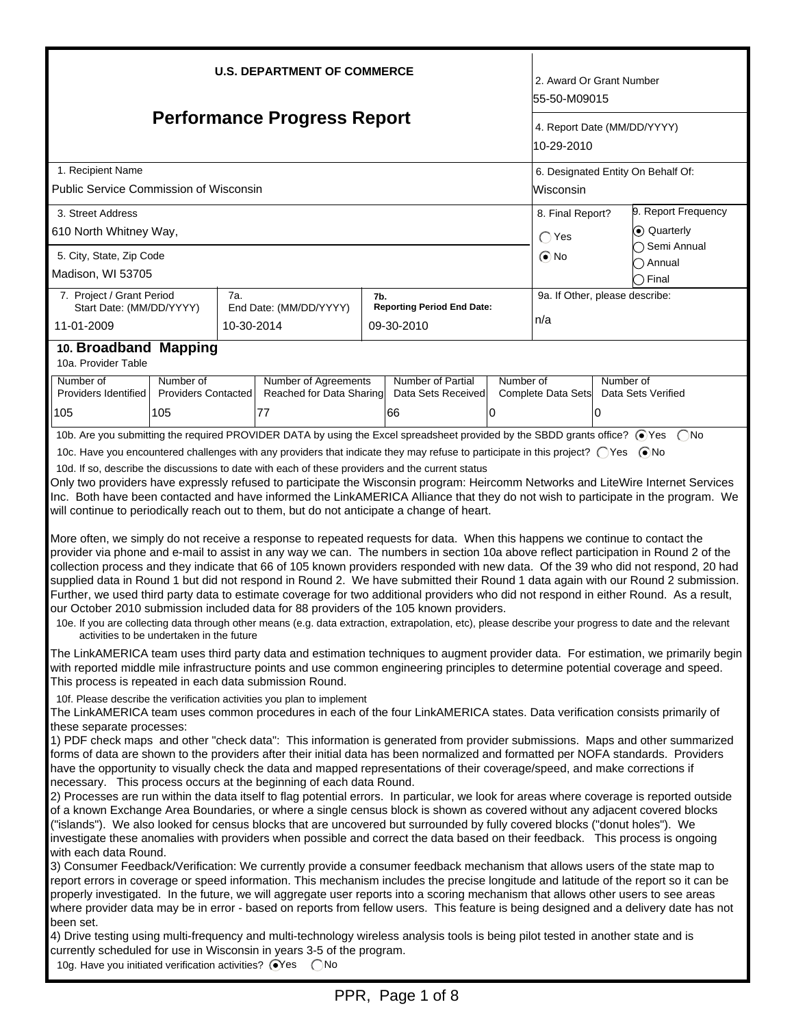| <b>U.S. DEPARTMENT OF COMMERCE</b>                                                                                                                                                                                                                                                                                                                                                                                                                                                                                                                                                                                                                                                                                                                                                                                                                                                                                                                                                                                                                                                                                                                                                                                                                                                                                                                                                                                                                                                                                                                                                                                                                                                                                                                                                                                                                                                                                                                                                                                                                                                                                                                                                                                                                                                                                                                                                   |                            |            |                                                                                                                                |     |                                   |           | 2. Award Or Grant Number<br>55-50-M09015 |                                           |                                    |  |  |
|--------------------------------------------------------------------------------------------------------------------------------------------------------------------------------------------------------------------------------------------------------------------------------------------------------------------------------------------------------------------------------------------------------------------------------------------------------------------------------------------------------------------------------------------------------------------------------------------------------------------------------------------------------------------------------------------------------------------------------------------------------------------------------------------------------------------------------------------------------------------------------------------------------------------------------------------------------------------------------------------------------------------------------------------------------------------------------------------------------------------------------------------------------------------------------------------------------------------------------------------------------------------------------------------------------------------------------------------------------------------------------------------------------------------------------------------------------------------------------------------------------------------------------------------------------------------------------------------------------------------------------------------------------------------------------------------------------------------------------------------------------------------------------------------------------------------------------------------------------------------------------------------------------------------------------------------------------------------------------------------------------------------------------------------------------------------------------------------------------------------------------------------------------------------------------------------------------------------------------------------------------------------------------------------------------------------------------------------------------------------------------------|----------------------------|------------|--------------------------------------------------------------------------------------------------------------------------------|-----|-----------------------------------|-----------|------------------------------------------|-------------------------------------------|------------------------------------|--|--|
| <b>Performance Progress Report</b>                                                                                                                                                                                                                                                                                                                                                                                                                                                                                                                                                                                                                                                                                                                                                                                                                                                                                                                                                                                                                                                                                                                                                                                                                                                                                                                                                                                                                                                                                                                                                                                                                                                                                                                                                                                                                                                                                                                                                                                                                                                                                                                                                                                                                                                                                                                                                   |                            |            |                                                                                                                                |     |                                   |           |                                          | 4. Report Date (MM/DD/YYYY)<br>10-29-2010 |                                    |  |  |
| 1. Recipient Name                                                                                                                                                                                                                                                                                                                                                                                                                                                                                                                                                                                                                                                                                                                                                                                                                                                                                                                                                                                                                                                                                                                                                                                                                                                                                                                                                                                                                                                                                                                                                                                                                                                                                                                                                                                                                                                                                                                                                                                                                                                                                                                                                                                                                                                                                                                                                                    |                            |            |                                                                                                                                |     |                                   |           |                                          |                                           | 6. Designated Entity On Behalf Of: |  |  |
| Public Service Commission of Wisconsin                                                                                                                                                                                                                                                                                                                                                                                                                                                                                                                                                                                                                                                                                                                                                                                                                                                                                                                                                                                                                                                                                                                                                                                                                                                                                                                                                                                                                                                                                                                                                                                                                                                                                                                                                                                                                                                                                                                                                                                                                                                                                                                                                                                                                                                                                                                                               |                            |            |                                                                                                                                |     |                                   |           | lWisconsin                               |                                           |                                    |  |  |
| 3. Street Address                                                                                                                                                                                                                                                                                                                                                                                                                                                                                                                                                                                                                                                                                                                                                                                                                                                                                                                                                                                                                                                                                                                                                                                                                                                                                                                                                                                                                                                                                                                                                                                                                                                                                                                                                                                                                                                                                                                                                                                                                                                                                                                                                                                                                                                                                                                                                                    |                            |            |                                                                                                                                |     |                                   |           |                                          | 9. Report Frequency<br>8. Final Report?   |                                    |  |  |
| 610 North Whitney Way,                                                                                                                                                                                                                                                                                                                                                                                                                                                                                                                                                                                                                                                                                                                                                                                                                                                                                                                                                                                                                                                                                                                                                                                                                                                                                                                                                                                                                                                                                                                                                                                                                                                                                                                                                                                                                                                                                                                                                                                                                                                                                                                                                                                                                                                                                                                                                               |                            |            |                                                                                                                                |     |                                   |           | $\bigcap$ Yes                            | Cuarterly                                 |                                    |  |  |
| 5. City, State, Zip Code                                                                                                                                                                                                                                                                                                                                                                                                                                                                                                                                                                                                                                                                                                                                                                                                                                                                                                                                                                                                                                                                                                                                                                                                                                                                                                                                                                                                                                                                                                                                                                                                                                                                                                                                                                                                                                                                                                                                                                                                                                                                                                                                                                                                                                                                                                                                                             |                            |            |                                                                                                                                |     |                                   |           | $\odot$ No                               |                                           | ◯ Semi Annual<br>៝ Annual          |  |  |
| Madison, WI 53705                                                                                                                                                                                                                                                                                                                                                                                                                                                                                                                                                                                                                                                                                                                                                                                                                                                                                                                                                                                                                                                                                                                                                                                                                                                                                                                                                                                                                                                                                                                                                                                                                                                                                                                                                                                                                                                                                                                                                                                                                                                                                                                                                                                                                                                                                                                                                                    |                            |            |                                                                                                                                |     |                                   |           |                                          |                                           | $\supset$ Final                    |  |  |
| 7. Project / Grant Period                                                                                                                                                                                                                                                                                                                                                                                                                                                                                                                                                                                                                                                                                                                                                                                                                                                                                                                                                                                                                                                                                                                                                                                                                                                                                                                                                                                                                                                                                                                                                                                                                                                                                                                                                                                                                                                                                                                                                                                                                                                                                                                                                                                                                                                                                                                                                            |                            | 7a.        |                                                                                                                                | 7b. |                                   |           | 9a. If Other, please describe:           |                                           |                                    |  |  |
| Start Date: (MM/DD/YYYY)                                                                                                                                                                                                                                                                                                                                                                                                                                                                                                                                                                                                                                                                                                                                                                                                                                                                                                                                                                                                                                                                                                                                                                                                                                                                                                                                                                                                                                                                                                                                                                                                                                                                                                                                                                                                                                                                                                                                                                                                                                                                                                                                                                                                                                                                                                                                                             |                            |            | End Date: (MM/DD/YYYY)                                                                                                         |     | <b>Reporting Period End Date:</b> |           | n/a                                      |                                           |                                    |  |  |
| 11-01-2009                                                                                                                                                                                                                                                                                                                                                                                                                                                                                                                                                                                                                                                                                                                                                                                                                                                                                                                                                                                                                                                                                                                                                                                                                                                                                                                                                                                                                                                                                                                                                                                                                                                                                                                                                                                                                                                                                                                                                                                                                                                                                                                                                                                                                                                                                                                                                                           |                            | 10-30-2014 |                                                                                                                                |     | 09-30-2010                        |           |                                          |                                           |                                    |  |  |
| 10. Broadband Mapping<br>10a. Provider Table                                                                                                                                                                                                                                                                                                                                                                                                                                                                                                                                                                                                                                                                                                                                                                                                                                                                                                                                                                                                                                                                                                                                                                                                                                                                                                                                                                                                                                                                                                                                                                                                                                                                                                                                                                                                                                                                                                                                                                                                                                                                                                                                                                                                                                                                                                                                         |                            |            |                                                                                                                                |     |                                   |           |                                          |                                           |                                    |  |  |
| Number of                                                                                                                                                                                                                                                                                                                                                                                                                                                                                                                                                                                                                                                                                                                                                                                                                                                                                                                                                                                                                                                                                                                                                                                                                                                                                                                                                                                                                                                                                                                                                                                                                                                                                                                                                                                                                                                                                                                                                                                                                                                                                                                                                                                                                                                                                                                                                                            | Number of                  |            | Number of Agreements                                                                                                           |     | <b>Number of Partial</b>          | Number of |                                          | Number of                                 |                                    |  |  |
| Providers Identified                                                                                                                                                                                                                                                                                                                                                                                                                                                                                                                                                                                                                                                                                                                                                                                                                                                                                                                                                                                                                                                                                                                                                                                                                                                                                                                                                                                                                                                                                                                                                                                                                                                                                                                                                                                                                                                                                                                                                                                                                                                                                                                                                                                                                                                                                                                                                                 | <b>Providers Contacted</b> |            | Reached for Data Sharing                                                                                                       |     | Data Sets Received                |           | Complete Data Sets                       |                                           | Data Sets Verified                 |  |  |
| 105                                                                                                                                                                                                                                                                                                                                                                                                                                                                                                                                                                                                                                                                                                                                                                                                                                                                                                                                                                                                                                                                                                                                                                                                                                                                                                                                                                                                                                                                                                                                                                                                                                                                                                                                                                                                                                                                                                                                                                                                                                                                                                                                                                                                                                                                                                                                                                                  | 105                        |            | 77                                                                                                                             |     | 66                                | 0         |                                          | 0                                         |                                    |  |  |
|                                                                                                                                                                                                                                                                                                                                                                                                                                                                                                                                                                                                                                                                                                                                                                                                                                                                                                                                                                                                                                                                                                                                                                                                                                                                                                                                                                                                                                                                                                                                                                                                                                                                                                                                                                                                                                                                                                                                                                                                                                                                                                                                                                                                                                                                                                                                                                                      |                            |            | 10b. Are you submitting the required PROVIDER DATA by using the Excel spreadsheet provided by the SBDD grants office? ⊙Yes (No |     |                                   |           |                                          |                                           |                                    |  |  |
| 10c. Have you encountered challenges with any providers that indicate they may refuse to participate in this project? ○ Yes ● No<br>10d. If so, describe the discussions to date with each of these providers and the current status<br>Only two providers have expressly refused to participate the Wisconsin program: Heircomm Networks and LiteWire Internet Services<br>Inc. Both have been contacted and have informed the LinkAMERICA Alliance that they do not wish to participate in the program. We<br>will continue to periodically reach out to them, but do not anticipate a change of heart.<br>More often, we simply do not receive a response to repeated requests for data. When this happens we continue to contact the<br>provider via phone and e-mail to assist in any way we can. The numbers in section 10a above reflect participation in Round 2 of the<br>collection process and they indicate that 66 of 105 known providers responded with new data. Of the 39 who did not respond, 20 had<br>supplied data in Round 1 but did not respond in Round 2. We have submitted their Round 1 data again with our Round 2 submission.<br>Further, we used third party data to estimate coverage for two additional providers who did not respond in either Round. As a result,<br>our October 2010 submission included data for 88 providers of the 105 known providers.                                                                                                                                                                                                                                                                                                                                                                                                                                                                                                                                                                                                                                                                                                                                                                                                                                                                                                                                                                                         |                            |            |                                                                                                                                |     |                                   |           |                                          |                                           |                                    |  |  |
| 10e. If you are collecting data through other means (e.g. data extraction, extrapolation, etc), please describe your progress to date and the relevant<br>activities to be undertaken in the future<br>The LinkAMERICA team uses third party data and estimation techniques to augment provider data. For estimation, we primarily begin<br>with reported middle mile infrastructure points and use common engineering principles to determine potential coverage and speed.<br>This process is repeated in each data submission Round.<br>10f. Please describe the verification activities you plan to implement<br>The LinkAMERICA team uses common procedures in each of the four LinkAMERICA states. Data verification consists primarily of<br>these separate processes:<br>1) PDF check maps and other "check data": This information is generated from provider submissions. Maps and other summarized<br>forms of data are shown to the providers after their initial data has been normalized and formatted per NOFA standards. Providers<br>have the opportunity to visually check the data and mapped representations of their coverage/speed, and make corrections if<br>necessary. This process occurs at the beginning of each data Round.<br>2) Processes are run within the data itself to flag potential errors. In particular, we look for areas where coverage is reported outside<br>of a known Exchange Area Boundaries, or where a single census block is shown as covered without any adjacent covered blocks<br>("islands"). We also looked for census blocks that are uncovered but surrounded by fully covered blocks ("donut holes"). We<br>investigate these anomalies with providers when possible and correct the data based on their feedback. This process is ongoing<br>with each data Round.<br>3) Consumer Feedback/Verification: We currently provide a consumer feedback mechanism that allows users of the state map to<br>report errors in coverage or speed information. This mechanism includes the precise longitude and latitude of the report so it can be<br>properly investigated. In the future, we will aggregate user reports into a scoring mechanism that allows other users to see areas<br>where provider data may be in error - based on reports from fellow users. This feature is being designed and a delivery date has not |                            |            |                                                                                                                                |     |                                   |           |                                          |                                           |                                    |  |  |
| been set.<br>4) Drive testing using multi-frequency and multi-technology wireless analysis tools is being pilot tested in another state and is<br>currently scheduled for use in Wisconsin in years 3-5 of the program.                                                                                                                                                                                                                                                                                                                                                                                                                                                                                                                                                                                                                                                                                                                                                                                                                                                                                                                                                                                                                                                                                                                                                                                                                                                                                                                                                                                                                                                                                                                                                                                                                                                                                                                                                                                                                                                                                                                                                                                                                                                                                                                                                              |                            |            |                                                                                                                                |     |                                   |           |                                          |                                           |                                    |  |  |

10g. Have you initiated verification activities? **O**Yes CNo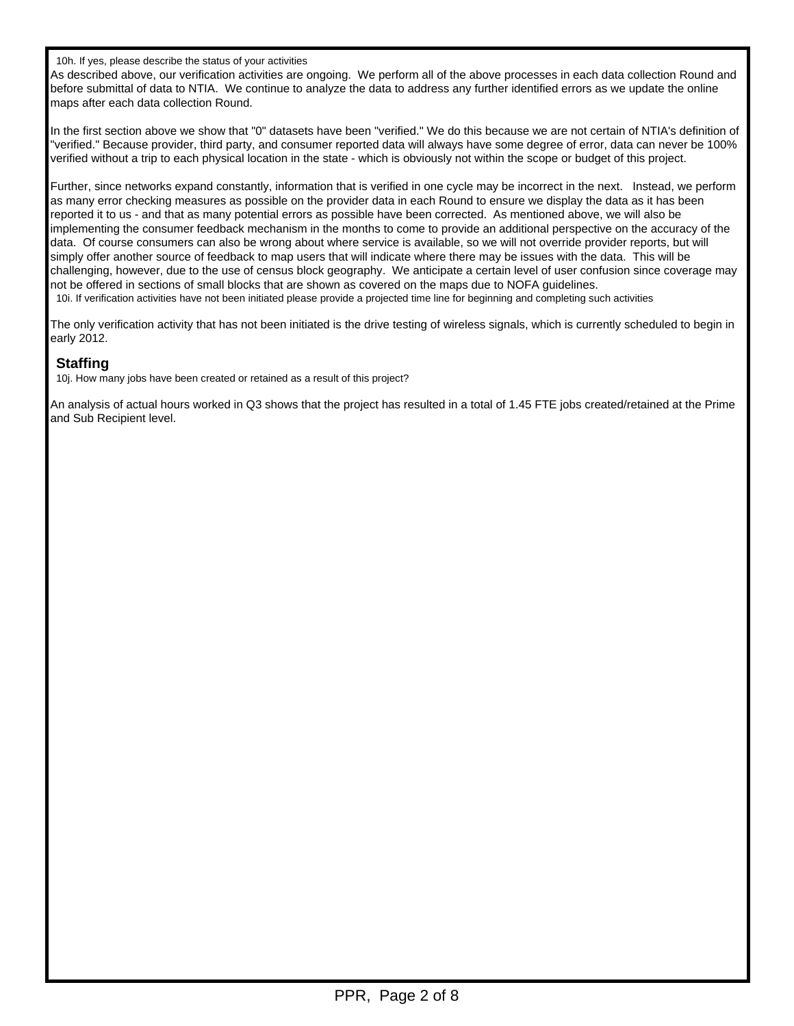10h. If yes, please describe the status of your activities

As described above, our verification activities are ongoing. We perform all of the above processes in each data collection Round and before submittal of data to NTIA. We continue to analyze the data to address any further identified errors as we update the online maps after each data collection Round.

In the first section above we show that "0" datasets have been "verified." We do this because we are not certain of NTIA's definition of "verified." Because provider, third party, and consumer reported data will always have some degree of error, data can never be 100% verified without a trip to each physical location in the state - which is obviously not within the scope or budget of this project.

Further, since networks expand constantly, information that is verified in one cycle may be incorrect in the next. Instead, we perform as many error checking measures as possible on the provider data in each Round to ensure we display the data as it has been reported it to us - and that as many potential errors as possible have been corrected. As mentioned above, we will also be implementing the consumer feedback mechanism in the months to come to provide an additional perspective on the accuracy of the data. Of course consumers can also be wrong about where service is available, so we will not override provider reports, but will simply offer another source of feedback to map users that will indicate where there may be issues with the data. This will be challenging, however, due to the use of census block geography. We anticipate a certain level of user confusion since coverage may not be offered in sections of small blocks that are shown as covered on the maps due to NOFA guidelines.

10i. If verification activities have not been initiated please provide a projected time line for beginning and completing such activities

The only verification activity that has not been initiated is the drive testing of wireless signals, which is currently scheduled to begin in early 2012.

#### **Staffing**

10j. How many jobs have been created or retained as a result of this project?

An analysis of actual hours worked in Q3 shows that the project has resulted in a total of 1.45 FTE jobs created/retained at the Prime and Sub Recipient level.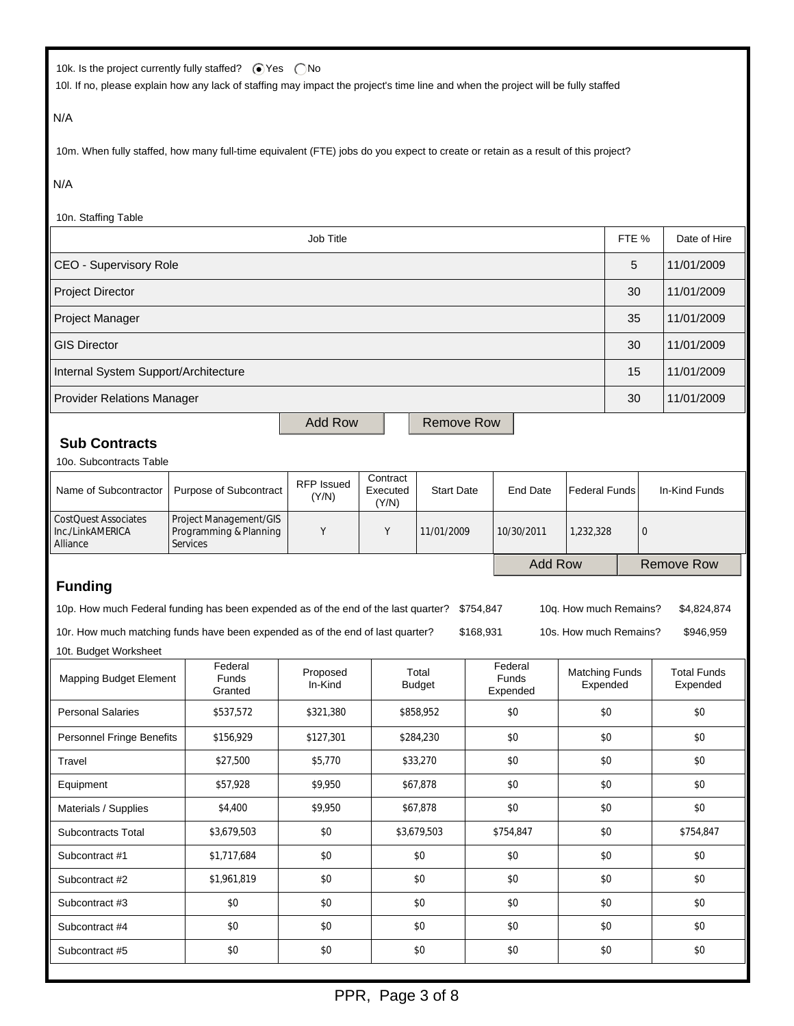| 10k. Is the project currently fully staffed? ● Yes ● No |  |  |
|---------------------------------------------------------|--|--|
|---------------------------------------------------------|--|--|

10l. If no, please explain how any lack of staffing may impact the project's time line and when the project will be fully staffed

### N/A

10m. When fully staffed, how many full-time equivalent (FTE) jobs do you expect to create or retain as a result of this project?

### N/A

| IVA                                                                                                                                                                                                             |                                                                     |                     |                   |                               |                        |                              |                                                  |                      |   |                                |
|-----------------------------------------------------------------------------------------------------------------------------------------------------------------------------------------------------------------|---------------------------------------------------------------------|---------------------|-------------------|-------------------------------|------------------------|------------------------------|--------------------------------------------------|----------------------|---|--------------------------------|
| 10n. Staffing Table                                                                                                                                                                                             |                                                                     |                     |                   |                               |                        |                              |                                                  |                      |   |                                |
| Job Title                                                                                                                                                                                                       |                                                                     |                     |                   |                               |                        |                              |                                                  | FTE %                |   | Date of Hire                   |
| CEO - Supervisory Role                                                                                                                                                                                          |                                                                     |                     |                   |                               |                        |                              |                                                  | 5                    |   | 11/01/2009                     |
| <b>Project Director</b>                                                                                                                                                                                         |                                                                     |                     |                   |                               |                        |                              |                                                  | 30                   |   | 11/01/2009                     |
| Project Manager                                                                                                                                                                                                 |                                                                     |                     |                   |                               |                        |                              |                                                  | 35                   |   | 11/01/2009                     |
| <b>GIS Director</b>                                                                                                                                                                                             |                                                                     |                     |                   |                               |                        |                              |                                                  | 30                   |   | 11/01/2009                     |
| Internal System Support/Architecture                                                                                                                                                                            |                                                                     |                     |                   |                               |                        |                              |                                                  | 15                   |   | 11/01/2009                     |
| <b>Provider Relations Manager</b>                                                                                                                                                                               |                                                                     |                     |                   |                               |                        |                              |                                                  | 30                   |   | 11/01/2009                     |
|                                                                                                                                                                                                                 |                                                                     | <b>Add Row</b>      |                   | <b>Remove Row</b>             |                        |                              |                                                  |                      |   |                                |
| <b>Sub Contracts</b>                                                                                                                                                                                            |                                                                     |                     |                   |                               |                        |                              |                                                  |                      |   |                                |
| 10o. Subcontracts Table                                                                                                                                                                                         |                                                                     |                     |                   |                               |                        |                              |                                                  |                      |   |                                |
| Name of Subcontractor                                                                                                                                                                                           | Purpose of Subcontract                                              | RFP Issued<br>(Y/N) | Executed<br>(Y/N) | Contract<br><b>Start Date</b> |                        | <b>End Date</b>              |                                                  | <b>Federal Funds</b> |   | In-Kind Funds                  |
| <b>CostQuest Associates</b><br>Inc./LinkAMERICA<br>Alliance                                                                                                                                                     | Project Management/GIS<br>Programming & Planning<br><b>Services</b> | Y                   | Υ                 | 11/01/2009                    |                        | 10/30/2011                   | 1.232.328                                        |                      | 0 |                                |
|                                                                                                                                                                                                                 |                                                                     |                     | <b>Add Row</b>    |                               |                        | <b>Remove Row</b>            |                                                  |                      |   |                                |
| <b>Funding</b><br>10p. How much Federal funding has been expended as of the end of the last quarter?<br>10r. How much matching funds have been expended as of the end of last quarter?<br>10t. Budget Worksheet |                                                                     |                     |                   |                               | \$754,847<br>\$168,931 |                              | 10q. How much Remains?<br>10s. How much Remains? |                      |   | \$4,824,874<br>\$946,959       |
| <b>Mapping Budget Element</b>                                                                                                                                                                                   | Federal<br>Funds<br>Granted                                         | Proposed<br>In-Kind |                   | Total<br><b>Budget</b>        |                        | Federal<br>Funds<br>Expended | <b>Matching Funds</b><br>Expended                |                      |   | <b>Total Funds</b><br>Expended |
| <b>Personal Salaries</b>                                                                                                                                                                                        | \$537,572                                                           | \$321,380           |                   | \$858,952                     |                        | \$0                          |                                                  | \$0                  |   | \$0                            |
| Personnel Fringe Benefits                                                                                                                                                                                       | \$156,929                                                           | \$127,301           |                   | \$284,230                     |                        | \$0                          |                                                  | \$0                  |   | \$0                            |
| \$27,500<br>Travel                                                                                                                                                                                              |                                                                     | \$5,770             |                   | \$33,270                      | \$0                    |                              | \$0                                              |                      |   | \$0                            |
| Equipment                                                                                                                                                                                                       | \$57,928                                                            | \$9,950             |                   | \$67,878                      |                        | \$0                          | \$0                                              |                      |   | \$0                            |
| \$4,400<br>Materials / Supplies                                                                                                                                                                                 |                                                                     | \$9,950             |                   | \$67,878                      | \$0                    |                              | \$0                                              |                      |   | \$0                            |
| \$3,679,503<br>Subcontracts Total                                                                                                                                                                               |                                                                     | \$0                 |                   | \$3,679,503                   | \$754,847              |                              | \$0                                              |                      |   | \$754,847                      |
| Subcontract #1<br>\$1,717,684                                                                                                                                                                                   |                                                                     | $\$0$               |                   | \$0                           |                        | \$0                          |                                                  | $$0$$                |   | \$0                            |
| Subcontract #2                                                                                                                                                                                                  | \$1,961,819                                                         | $\$0$               |                   | $$0$$                         |                        | \$0                          |                                                  | \$0                  |   | \$0                            |
| Subcontract #3                                                                                                                                                                                                  | \$0                                                                 | $\$0$               |                   | $\$0$                         |                        | \$0                          |                                                  | \$0                  |   | \$0                            |
| \$0<br>Subcontract #4                                                                                                                                                                                           |                                                                     | \$0                 |                   | $\$0$                         |                        | \$0                          |                                                  | \$0                  |   | \$0                            |
| \$0<br>Subcontract #5                                                                                                                                                                                           |                                                                     | $\$0$               |                   | $\$0$                         |                        | \$0                          |                                                  | $\$0$                |   | \$0                            |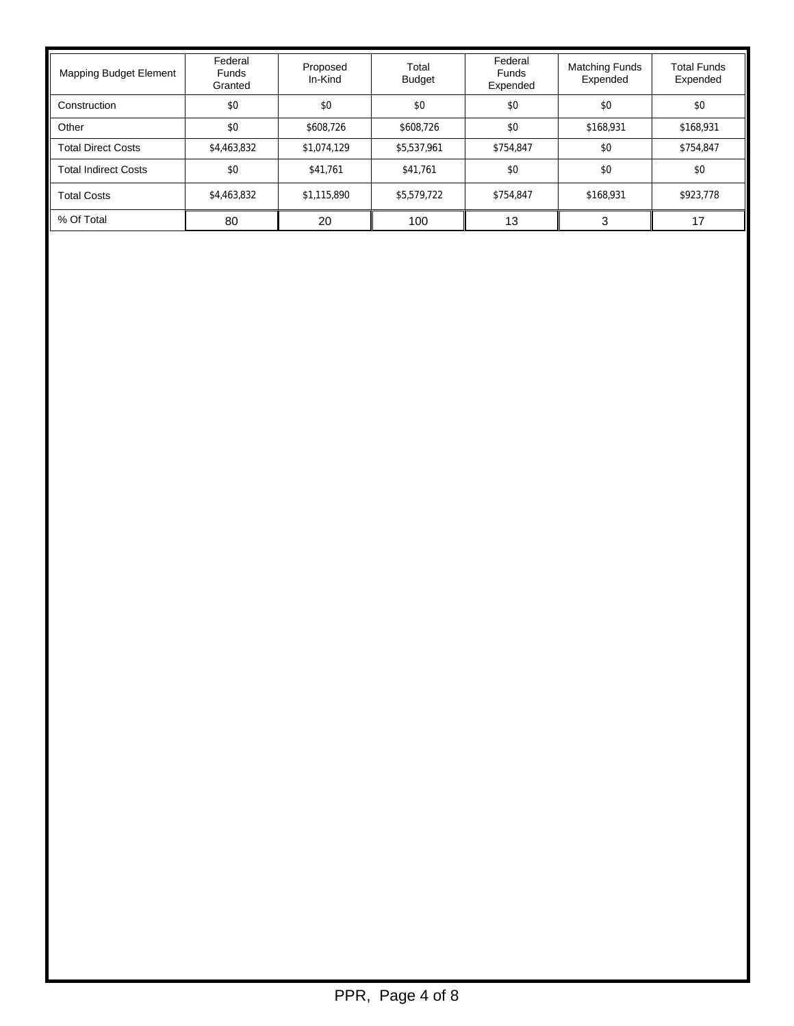| Mapping Budget Element | Federal<br><b>Funds</b><br>Granted | Proposed<br>In-Kind | Total<br><b>Budget</b> | Federal<br><b>Funds</b><br>Expended | <b>Matching Funds</b><br>Expended | <b>Total Funds</b><br>Expended |
|------------------------|------------------------------------|---------------------|------------------------|-------------------------------------|-----------------------------------|--------------------------------|
| Construction           | \$0                                | \$0                 | \$0                    | \$0                                 | \$0                               | \$0                            |
| Other                  | \$0                                | \$608.726           | \$608.726              | \$0                                 | \$168,931                         | \$168,931                      |
| Total Direct Costs     | \$4,463,832                        | \$1,074,129         | \$5,537,961            | \$754,847                           | \$0                               | \$754,847                      |
| Total Indirect Costs   | \$0                                | \$41.761            | \$41.761               | \$0                                 | \$0                               | \$0                            |
| <b>Total Costs</b>     | \$4,463,832                        | \$1,115,890         | \$5,579,722            | \$754.847                           | \$168,931                         | \$923.778                      |
| % Of Total             | 80                                 | 20                  | 100                    | 13                                  |                                   | 17                             |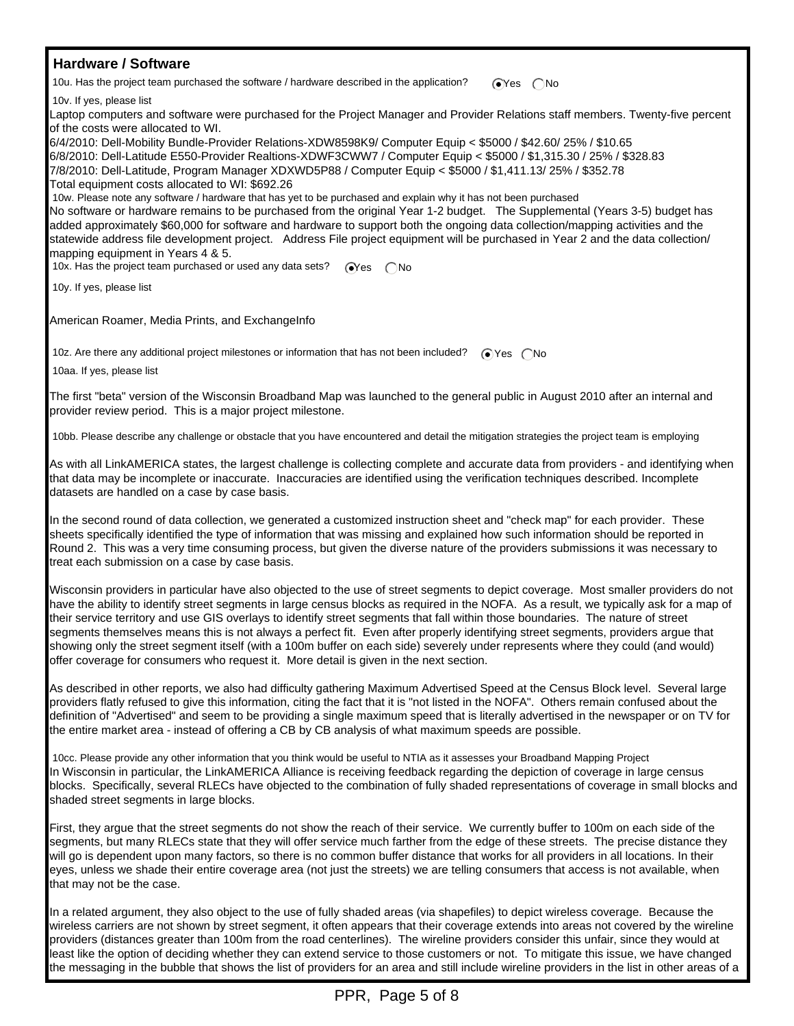### **Hardware / Software**

10u. Has the project team purchased the software / hardware described in the application?  $\bigcirc$ Yes  $\bigcirc$ No

10v. If yes, please list

Laptop computers and software were purchased for the Project Manager and Provider Relations staff members. Twenty-five percent of the costs were allocated to WI.

6/4/2010: Dell-Mobility Bundle-Provider Relations-XDW8598K9/ Computer Equip < \$5000 / \$42.60/ 25% / \$10.65 6/8/2010: Dell-Latitude E550-Provider Realtions-XDWF3CWW7 / Computer Equip < \$5000 / \$1,315.30 / 25% / \$328.83 7/8/2010: Dell-Latitude, Program Manager XDXWD5P88 / Computer Equip < \$5000 / \$1,411.13/ 25% / \$352.78 Total equipment costs allocated to WI: \$692.26

 10w. Please note any software / hardware that has yet to be purchased and explain why it has not been purchased No software or hardware remains to be purchased from the original Year 1-2 budget. The Supplemental (Years 3-5) budget has added approximately \$60,000 for software and hardware to support both the ongoing data collection/mapping activities and the statewide address file development project. Address File project equipment will be purchased in Year 2 and the data collection/ mapping equipment in Years 4 & 5.

10x. Has the project team purchased or used any data sets?  $\sqrt{\alpha}$ es  $\bigcap$ No

10y. If yes, please list

American Roamer, Media Prints, and ExchangeInfo

10z. Are there any additional project milestones or information that has not been included?  $\bigcirc$  Yes  $\bigcirc$  No

10aa. If yes, please list

The first "beta" version of the Wisconsin Broadband Map was launched to the general public in August 2010 after an internal and provider review period. This is a major project milestone.

10bb. Please describe any challenge or obstacle that you have encountered and detail the mitigation strategies the project team is employing

As with all LinkAMERICA states, the largest challenge is collecting complete and accurate data from providers - and identifying when that data may be incomplete or inaccurate. Inaccuracies are identified using the verification techniques described. Incomplete datasets are handled on a case by case basis.

In the second round of data collection, we generated a customized instruction sheet and "check map" for each provider. These sheets specifically identified the type of information that was missing and explained how such information should be reported in Round 2. This was a very time consuming process, but given the diverse nature of the providers submissions it was necessary to treat each submission on a case by case basis.

Wisconsin providers in particular have also objected to the use of street segments to depict coverage. Most smaller providers do not have the ability to identify street segments in large census blocks as required in the NOFA. As a result, we typically ask for a map of their service territory and use GIS overlays to identify street segments that fall within those boundaries. The nature of street segments themselves means this is not always a perfect fit. Even after properly identifying street segments, providers argue that showing only the street segment itself (with a 100m buffer on each side) severely under represents where they could (and would) offer coverage for consumers who request it. More detail is given in the next section.

As described in other reports, we also had difficulty gathering Maximum Advertised Speed at the Census Block level. Several large providers flatly refused to give this information, citing the fact that it is "not listed in the NOFA". Others remain confused about the definition of "Advertised" and seem to be providing a single maximum speed that is literally advertised in the newspaper or on TV for the entire market area - instead of offering a CB by CB analysis of what maximum speeds are possible.

 10cc. Please provide any other information that you think would be useful to NTIA as it assesses your Broadband Mapping Project In Wisconsin in particular, the LinkAMERICA Alliance is receiving feedback regarding the depiction of coverage in large census blocks. Specifically, several RLECs have objected to the combination of fully shaded representations of coverage in small blocks and shaded street segments in large blocks.

First, they argue that the street segments do not show the reach of their service. We currently buffer to 100m on each side of the segments, but many RLECs state that they will offer service much farther from the edge of these streets. The precise distance they will go is dependent upon many factors, so there is no common buffer distance that works for all providers in all locations. In their eyes, unless we shade their entire coverage area (not just the streets) we are telling consumers that access is not available, when that may not be the case.

In a related argument, they also object to the use of fully shaded areas (via shapefiles) to depict wireless coverage. Because the wireless carriers are not shown by street segment, it often appears that their coverage extends into areas not covered by the wireline providers (distances greater than 100m from the road centerlines). The wireline providers consider this unfair, since they would at least like the option of deciding whether they can extend service to those customers or not. To mitigate this issue, we have changed the messaging in the bubble that shows the list of providers for an area and still include wireline providers in the list in other areas of a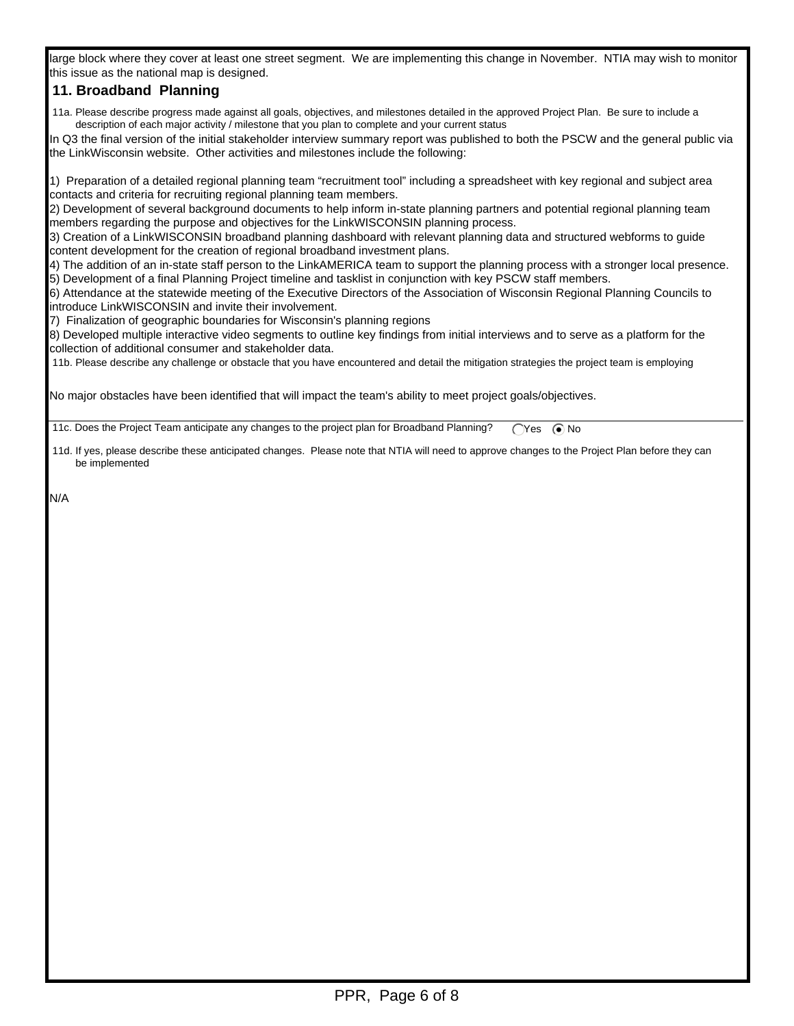large block where they cover at least one street segment. We are implementing this change in November. NTIA may wish to monitor this issue as the national map is designed.

## **11. Broadband Planning**

 11a. Please describe progress made against all goals, objectives, and milestones detailed in the approved Project Plan. Be sure to include a description of each major activity / milestone that you plan to complete and your current status

In Q3 the final version of the initial stakeholder interview summary report was published to both the PSCW and the general public via the LinkWisconsin website. Other activities and milestones include the following:

1) Preparation of a detailed regional planning team "recruitment tool" including a spreadsheet with key regional and subject area contacts and criteria for recruiting regional planning team members.

2) Development of several background documents to help inform in-state planning partners and potential regional planning team members regarding the purpose and objectives for the LinkWISCONSIN planning process.

3) Creation of a LinkWISCONSIN broadband planning dashboard with relevant planning data and structured webforms to guide content development for the creation of regional broadband investment plans.

4) The addition of an in-state staff person to the LinkAMERICA team to support the planning process with a stronger local presence. 5) Development of a final Planning Project timeline and tasklist in conjunction with key PSCW staff members.

6) Attendance at the statewide meeting of the Executive Directors of the Association of Wisconsin Regional Planning Councils to introduce LinkWISCONSIN and invite their involvement.

7) Finalization of geographic boundaries for Wisconsin's planning regions

8) Developed multiple interactive video segments to outline key findings from initial interviews and to serve as a platform for the collection of additional consumer and stakeholder data.

11b. Please describe any challenge or obstacle that you have encountered and detail the mitigation strategies the project team is employing

No major obstacles have been identified that will impact the team's ability to meet project goals/objectives.

11c. Does the Project Team anticipate any changes to the project plan for Broadband Planning?  $\bigcap$ Yes  $\bigcirc$  No

 11d. If yes, please describe these anticipated changes. Please note that NTIA will need to approve changes to the Project Plan before they can be implemented

N/A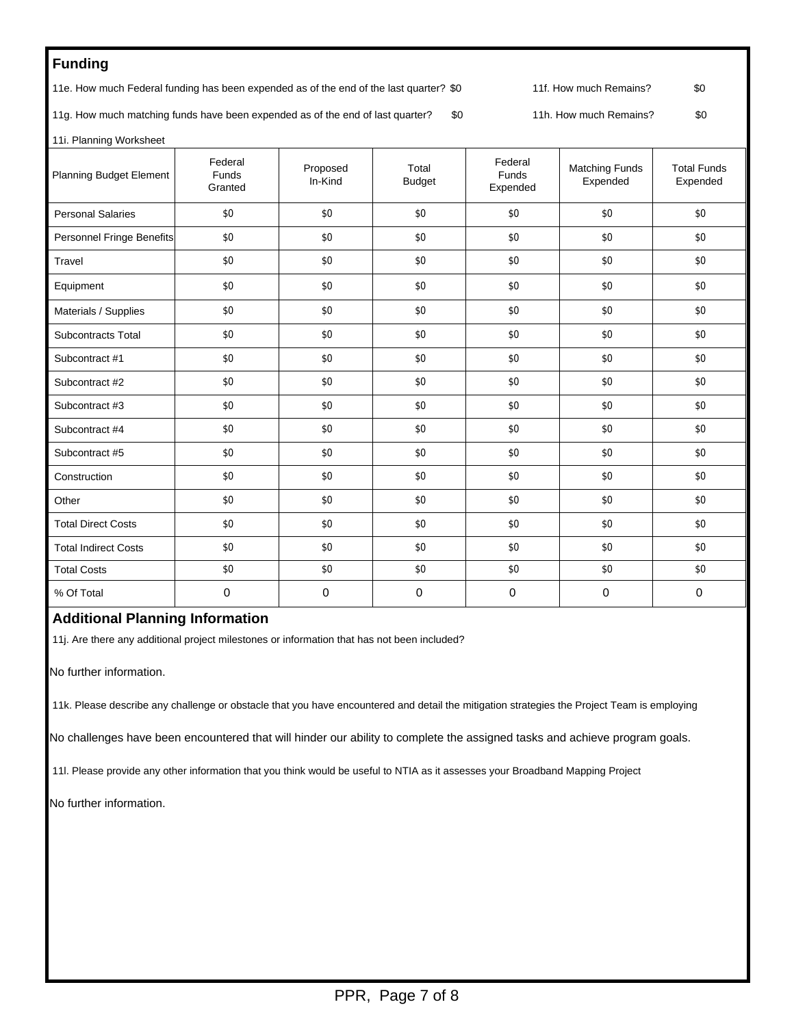# **Funding**

11e. How much Federal funding has been expended as of the end of the last quarter? \$0 11f. How much Remains? \$0

11g. How much matching funds have been expended as of the end of last quarter? \$0 11h. How much Remains? \$0

11i. Planning Worksheet

| <b>Planning Budget Element</b> | Federal<br>Funds<br>Granted | Proposed<br>In-Kind | Total<br><b>Budget</b> | Federal<br><b>Funds</b><br>Expended | <b>Matching Funds</b><br>Expended | <b>Total Funds</b><br>Expended |
|--------------------------------|-----------------------------|---------------------|------------------------|-------------------------------------|-----------------------------------|--------------------------------|
| <b>Personal Salaries</b>       | \$0                         | \$0                 | \$0                    | \$0                                 | \$0                               | \$0                            |
| Personnel Fringe Benefits      | \$0                         | \$0                 | \$0                    | \$0                                 | \$0                               | \$0                            |
| Travel                         | \$0                         | \$0                 | \$0                    | \$0                                 | \$0                               | \$0                            |
| Equipment                      | \$0                         | \$0                 | \$0                    | \$0                                 | \$0                               | \$0                            |
| Materials / Supplies           | \$0                         | \$0                 | \$0                    | \$0                                 | \$0                               | \$0                            |
| <b>Subcontracts Total</b>      | \$0                         | \$0                 | \$0                    | \$0                                 | \$0                               | \$0                            |
| Subcontract #1                 | \$0                         | \$0                 | \$0                    | \$0                                 | \$0                               | \$0                            |
| Subcontract #2                 | \$0                         | \$0                 | \$0                    | \$0                                 | \$0                               | \$0                            |
| Subcontract #3                 | \$0                         | \$0                 | \$0                    | \$0                                 | \$0                               | \$0                            |
| Subcontract #4                 | \$0                         | \$0                 | \$0                    | \$0                                 | \$0                               | \$0                            |
| Subcontract #5                 | \$0                         | \$0                 | \$0                    | \$0                                 | \$0                               | \$0                            |
| Construction                   | \$0                         | \$0                 | \$0                    | \$0                                 | \$0                               | \$0                            |
| Other                          | \$0                         | \$0                 | \$0                    | \$0                                 | \$0                               | \$0                            |
| <b>Total Direct Costs</b>      | \$0                         | \$0                 | \$0                    | \$0                                 | \$0                               | \$0                            |
| <b>Total Indirect Costs</b>    | \$0                         | \$0                 | \$0                    | \$0                                 | \$0                               | \$0                            |
| <b>Total Costs</b>             | \$0                         | \$0                 | \$0                    | \$0                                 | \$0                               | \$0                            |
| % Of Total                     | 0                           | 0                   | $\mathbf 0$            | $\mathbf 0$                         | 0                                 | $\mathbf 0$                    |

### **Additional Planning Information**

11j. Are there any additional project milestones or information that has not been included?

No further information.

11k. Please describe any challenge or obstacle that you have encountered and detail the mitigation strategies the Project Team is employing

No challenges have been encountered that will hinder our ability to complete the assigned tasks and achieve program goals.

11l. Please provide any other information that you think would be useful to NTIA as it assesses your Broadband Mapping Project

No further information.